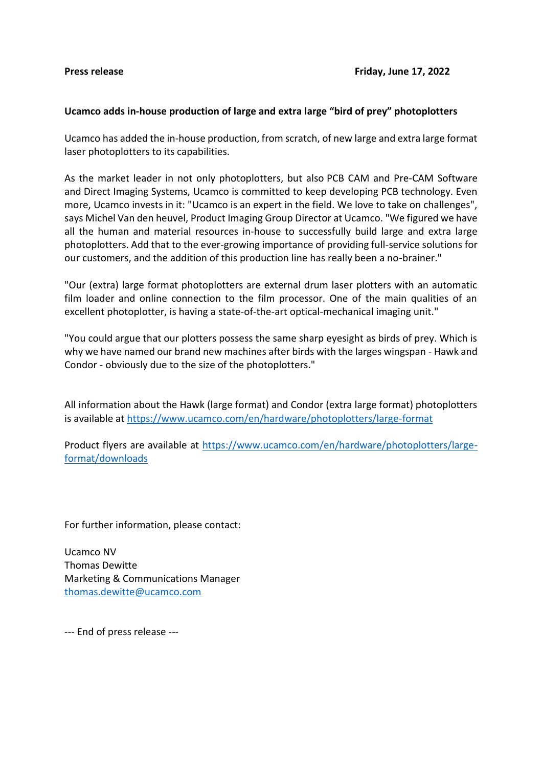## **Ucamco adds in-house production of large and extra large "bird of prey" photoplotters**

Ucamco has added the in-house production, from scratch, of new large and extra large format laser photoplotters to its capabilities.

As the market leader in not only photoplotters, but also PCB CAM and Pre-CAM Software and Direct Imaging Systems, Ucamco is committed to keep developing PCB technology. Even more, Ucamco invests in it: "Ucamco is an expert in the field. We love to take on challenges", says Michel Van den heuvel, Product Imaging Group Director at Ucamco. "We figured we have all the human and material resources in-house to successfully build large and extra large photoplotters. Add that to the ever-growing importance of providing full-service solutions for our customers, and the addition of this production line has really been a no-brainer."

"Our (extra) large format photoplotters are external drum laser plotters with an automatic film loader and online connection to the film processor. One of the main qualities of an excellent photoplotter, is having a state-of-the-art optical-mechanical imaging unit."

"You could argue that our plotters possess the same sharp eyesight as birds of prey. Which is why we have named our brand new machines after birds with the larges wingspan - Hawk and Condor - obviously due to the size of the photoplotters."

All information about the Hawk (large format) and Condor (extra large format) photoplotters is available at<https://www.ucamco.com/en/hardware/photoplotters/large-format>

Product flyers are available at [https://www.ucamco.com/en/hardware/photoplotters/large](https://www.ucamco.com/en/hardware/photoplotters/large-format/downloads)[format/downloads](https://www.ucamco.com/en/hardware/photoplotters/large-format/downloads)

For further information, please contact:

Ucamco NV Thomas Dewitte Marketing & Communications Manager [thomas.dewitte@ucamco.com](mailto:thomas.dewitte@ucamco.com)

--- End of press release ---